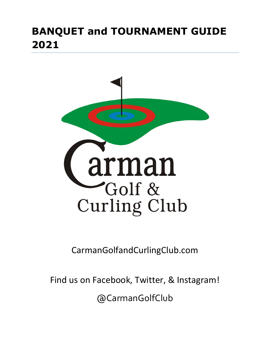

CarmanGolfandCurlingClub.com

Find us on Facebook, Twitter, & Instagram!

@CarmanGolfClub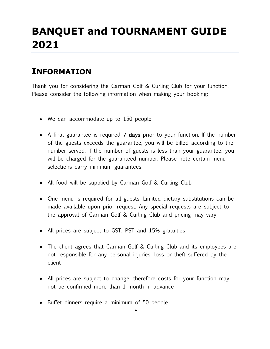### **INFORMATION**

Thank you for considering the Carman Golf & Curling Club for your function. Please consider the following information when making your booking:

- We can accommodate up to 150 people
- A final guarantee is required 7 days prior to your function. If the number of the guests exceeds the guarantee, you will be billed according to the number served. If the number of guests is less than your guarantee, you will be charged for the guaranteed number. Please note certain menu selections carry minimum guarantees
- All food will be supplied by Carman Golf & Curling Club
- One menu is required for all guests. Limited dietary substitutions can be made available upon prior request. Any special requests are subject to the approval of Carman Golf & Curling Club and pricing may vary
- All prices are subject to GST, PST and 15% gratuities
- The client agrees that Carman Golf & Curling Club and its employees are not responsible for any personal injuries, loss or theft suffered by the client
- All prices are subject to change; therefore costs for your function may not be confirmed more than 1 month in advance

•

• Buffet dinners require a minimum of 50 people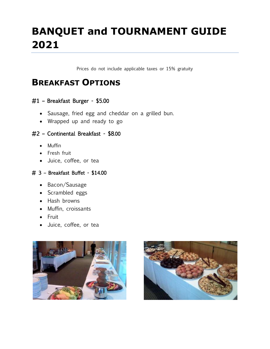Prices do not include applicable taxes or 15% gratuity

#### **BREAKFAST OPTIONS**

#### #1 – Breakfast Burger - \$5.00

- Sausage, fried egg and cheddar on a grilled bun.
- Wrapped up and ready to go

#### #2 – Continental Breakfast - \$8.00

- Muffin
- Fresh fruit
- Juice, coffee, or tea

#### # 3 – Breakfast Buffet - \$14.00

- Bacon/Sausage
- Scrambled eggs
- Hash browns
- Muffin, croissants
- Fruit
- Juice, coffee, or tea



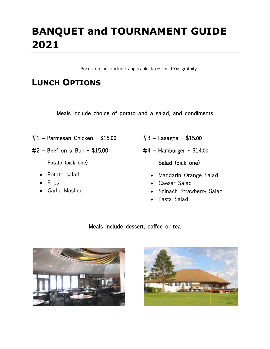Prices do not include applicable taxes or 15% gratuity

### **LUNCH OPTIONS**

Meals include choice of potato and a salad, and condiments

- #1 Parmesan Chicken \$15.00
- #2 Beef on a Bun \$15.00

Potato (pick one)

- Potato salad
- Fries
- Garlic Mashed
- #3 Lasagna \$15.00
- #4 Hamburger \$14.00

Salad (pick one)

- Mandarin Orange Salad
- Caesar Salad
- Spinach Strawberry Salad
- Pasta Salad

#### Meals include dessert, coffee or tea



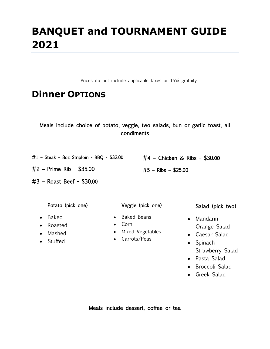Prices do not include applicable taxes or 15% gratuity

### **Dinner OPTIONS**

|  | Meals include choice of potato, veggie, two salads, bun or garlic toast, all |            |  |  |  |  |
|--|------------------------------------------------------------------------------|------------|--|--|--|--|
|  |                                                                              | condiments |  |  |  |  |

#1 – Steak – 8oz Striploin - BBQ - \$32.00

#2 – Prime Rib - \$35.00

#3 – Roast Beef - \$30.00

Potato (pick one)

- Baked
- Roasted
- Mashed
- Stuffed
- Veggie (pick one)
- Baked Beans
- Corn
- Mixed Vegetables
- Carrots/Peas

#### Salad (pick two)

• Mandarin Orange Salad

#4 – Chicken & Ribs - \$30.00

#5 – Ribs – \$25.00

- Caesar Salad
- Spinach Strawberry Salad
- Pasta Salad
- Broccoli Salad
- Greek Salad

Meals include dessert, coffee or tea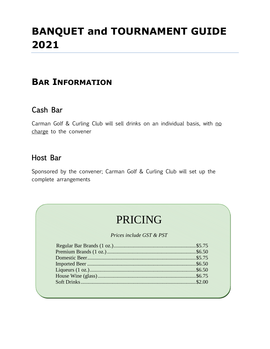### **BAR INFORMATION**

#### Cash Bar

Carman Golf & Curling Club will sell drinks on an individual basis, with no charge to the convener

#### Host Bar

Sponsored by the convener; Carman Golf & Curling Club will set up the complete arrangements

## PRICING

*Prices include GST & PST*